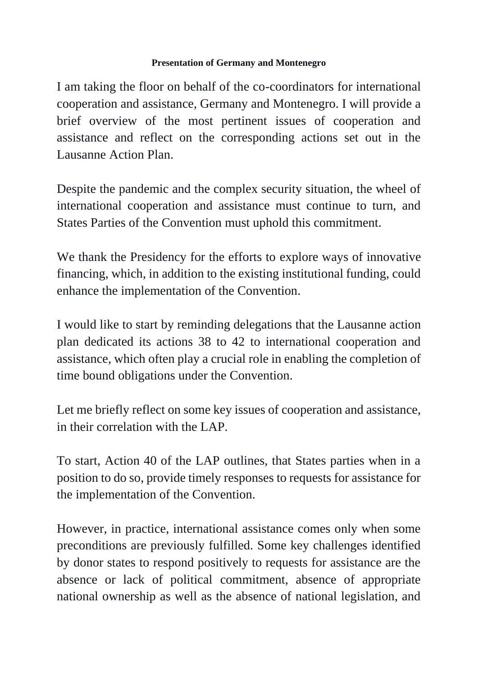## **Presentation of Germany and Montenegro**

I am taking the floor on behalf of the co-coordinators for international cooperation and assistance, Germany and Montenegro. I will provide a brief overview of the most pertinent issues of cooperation and assistance and reflect on the corresponding actions set out in the Lausanne Action Plan.

Despite the pandemic and the complex security situation, the wheel of international cooperation and assistance must continue to turn, and States Parties of the Convention must uphold this commitment.

We thank the Presidency for the efforts to explore ways of innovative financing, which, in addition to the existing institutional funding, could enhance the implementation of the Convention.

I would like to start by reminding delegations that the Lausanne action plan dedicated its actions 38 to 42 to international cooperation and assistance, which often play a crucial role in enabling the completion of time bound obligations under the Convention.

Let me briefly reflect on some key issues of cooperation and assistance, in their correlation with the LAP.

To start, Action 40 of the LAP outlines, that States parties when in a position to do so, provide timely responses to requests for assistance for the implementation of the Convention.

However, in practice, international assistance comes only when some preconditions are previously fulfilled. Some key challenges identified by donor states to respond positively to requests for assistance are the absence or lack of political commitment, absence of appropriate national ownership as well as the absence of national legislation, and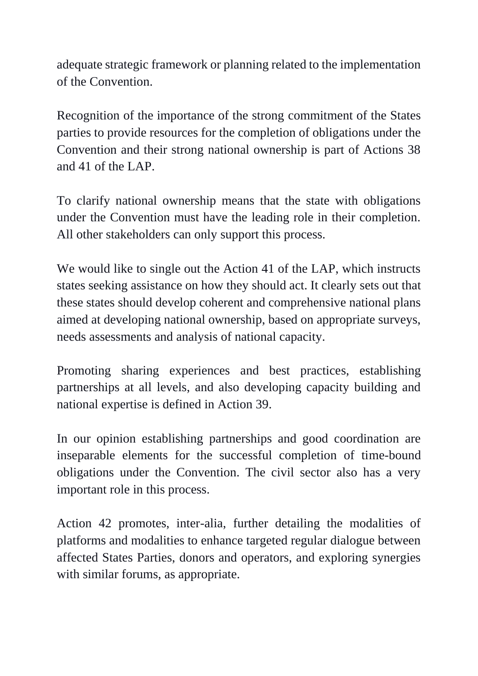adequate strategic framework or planning related to the implementation of the Convention.

Recognition of the importance of the strong commitment of the States parties to provide resources for the completion of obligations under the Convention and their strong national ownership is part of Actions 38 and 41 of the LAP.

To clarify national ownership means that the state with obligations under the Convention must have the leading role in their completion. All other stakeholders can only support this process.

We would like to single out the Action 41 of the LAP, which instructs states seeking assistance on how they should act. It clearly sets out that these states should develop coherent and comprehensive national plans aimed at developing national ownership, based on appropriate surveys, needs assessments and analysis of national capacity.

Promoting sharing experiences and best practices, establishing partnerships at all levels, and also developing capacity building and national expertise is defined in Action 39.

In our opinion establishing partnerships and good coordination are inseparable elements for the successful completion of time-bound obligations under the Convention. The civil sector also has a very important role in this process.

Action 42 promotes, inter-alia, further detailing the modalities of platforms and modalities to enhance targeted regular dialogue between affected States Parties, donors and operators, and exploring synergies with similar forums, as appropriate.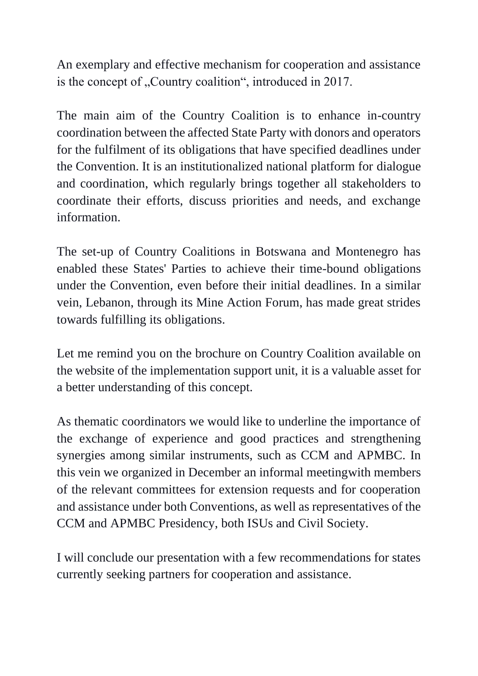An exemplary and effective mechanism for cooperation and assistance is the concept of "Country coalition", introduced in 2017.

The main aim of the Country Coalition is to enhance in-country coordination between the affected State Party with donors and operators for the fulfilment of its obligations that have specified deadlines under the Convention. It is an institutionalized national platform for dialogue and coordination, which regularly brings together all stakeholders to coordinate their efforts, discuss priorities and needs, and exchange information.

The set-up of Country Coalitions in Botswana and Montenegro has enabled these States' Parties to achieve their time-bound obligations under the Convention, even before their initial deadlines. In a similar vein, Lebanon, through its Mine Action Forum, has made great strides towards fulfilling its obligations.

Let me remind you on the brochure on Country Coalition available on the website of the implementation support unit, it is a valuable asset for a better understanding of this concept.

As thematic coordinators we would like to underline the importance of the exchange of experience and good practices and strengthening synergies among similar instruments, such as CCM and APMBC. In this vein we organized in December an informal meetingwith members of the relevant committees for extension requests and for cooperation and assistance under both Conventions, as well as representatives of the CCM and APMBC Presidency, both ISUs and Civil Society.

I will conclude our presentation with a few recommendations for states currently seeking partners for cooperation and assistance.